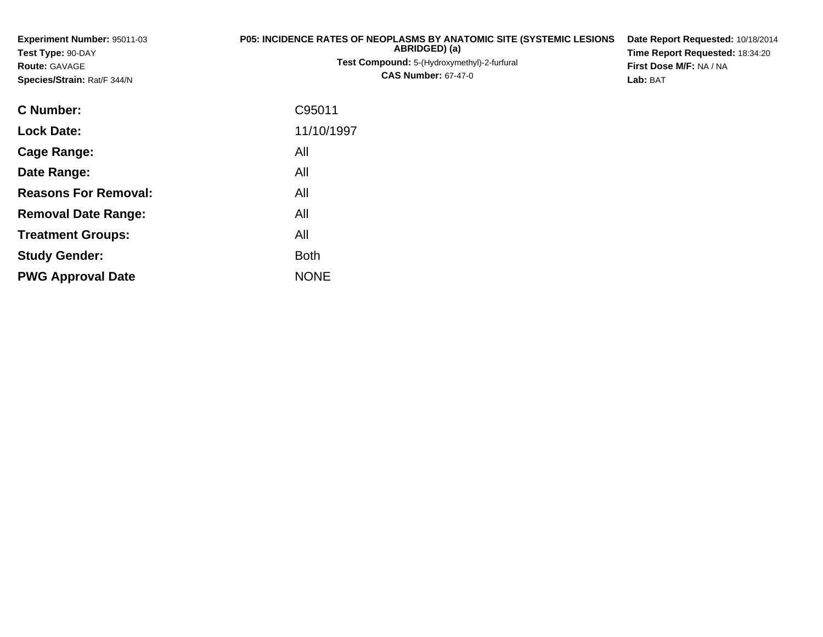**Experiment Number:** 95011-03**Test Type:** 90-DAY**Route:** GAVAGE **Species/Strain:** Rat/F 344/N**P05: INCIDENCE RATES OF NEOPLASMS BY ANATOMIC SITE (SYSTEMIC LESIONSABRIDGED) (a)Test Compound:** 5-(Hydroxymethyl)-2-furfural **CAS Number:** 67-47-0**Date Report Requested:** 10/18/2014**Time Report Requested:** 18:34:20**First Dose M/F:** NA / NA**Lab:** BAT**C Number:** C95011**Lock Date:** 11/10/1997**Cage Range:** All **Date Range:** All **Reasons For Removal:** All **Removal Date Range:**: All

**Treatment Groups:**

**PWG Approval Date**

**Study Gender:**

All

NONE

**Example 1** South 2 and 2 and 2 and 2 and 2 and 2 and 2 and 2 and 2 and 2 and 2 and 2 and 2 and 2 and 2 and 2 an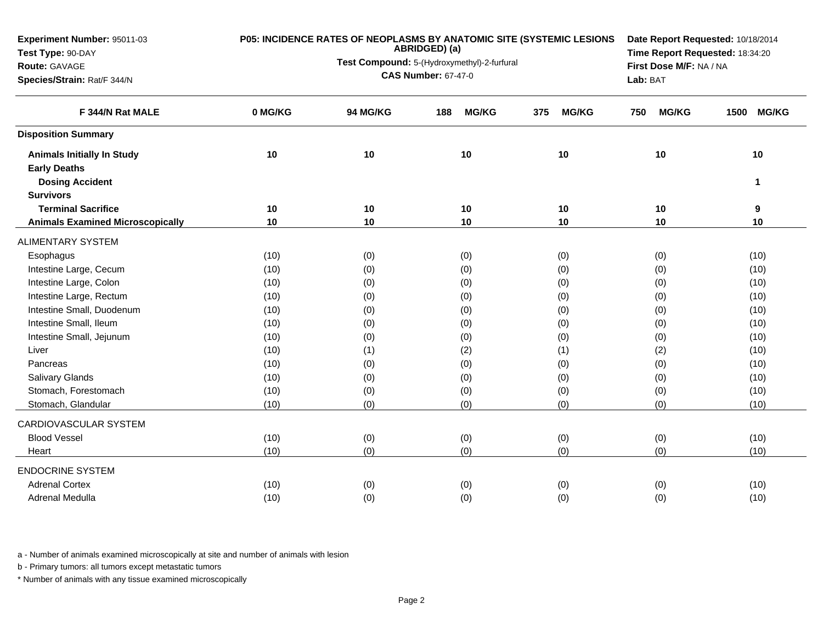| Experiment Number: 95011-03             | P05: INCIDENCE RATES OF NEOPLASMS BY ANATOMIC SITE (SYSTEMIC LESIONS<br>ABRIDGED) (a) |                                             |                                 |                     |                     |                      |  |
|-----------------------------------------|---------------------------------------------------------------------------------------|---------------------------------------------|---------------------------------|---------------------|---------------------|----------------------|--|
| Test Type: 90-DAY                       |                                                                                       | Test Compound: 5-(Hydroxymethyl)-2-furfural | Time Report Requested: 18:34:20 |                     |                     |                      |  |
| Route: GAVAGE                           |                                                                                       | <b>CAS Number: 67-47-0</b>                  | First Dose M/F: NA / NA         |                     |                     |                      |  |
| Species/Strain: Rat/F 344/N             |                                                                                       |                                             | Lab: BAT                        |                     |                     |                      |  |
| F 344/N Rat MALE                        | 0 MG/KG                                                                               | 94 MG/KG                                    | <b>MG/KG</b><br>188             | 375<br><b>MG/KG</b> | <b>MG/KG</b><br>750 | 1500<br><b>MG/KG</b> |  |
| <b>Disposition Summary</b>              |                                                                                       |                                             |                                 |                     |                     |                      |  |
| <b>Animals Initially In Study</b>       | 10                                                                                    | 10                                          | 10                              | 10                  | 10                  | $10$                 |  |
| <b>Early Deaths</b>                     |                                                                                       |                                             |                                 |                     |                     |                      |  |
| <b>Dosing Accident</b>                  |                                                                                       |                                             |                                 |                     |                     | 1                    |  |
| <b>Survivors</b>                        |                                                                                       |                                             |                                 |                     |                     |                      |  |
| <b>Terminal Sacrifice</b>               | 10                                                                                    | 10                                          | 10                              | 10                  | 10                  | 9                    |  |
| <b>Animals Examined Microscopically</b> | 10                                                                                    | 10                                          | 10                              | 10                  | 10                  | 10                   |  |
| <b>ALIMENTARY SYSTEM</b>                |                                                                                       |                                             |                                 |                     |                     |                      |  |
| Esophagus                               | (10)                                                                                  | (0)                                         | (0)                             | (0)                 | (0)                 | (10)                 |  |
| Intestine Large, Cecum                  | (10)                                                                                  | (0)                                         | (0)                             | (0)                 | (0)                 | (10)                 |  |
| Intestine Large, Colon                  | (10)                                                                                  | (0)                                         | (0)                             | (0)                 | (0)                 | (10)                 |  |
| Intestine Large, Rectum                 | (10)                                                                                  | (0)                                         | (0)                             | (0)                 | (0)                 | (10)                 |  |
| Intestine Small, Duodenum               | (10)                                                                                  | (0)                                         | (0)                             | (0)                 | (0)                 | (10)                 |  |
| Intestine Small, Ileum                  | (10)                                                                                  | (0)                                         | (0)                             | (0)                 | (0)                 | (10)                 |  |
| Intestine Small, Jejunum                | (10)                                                                                  | (0)                                         | (0)                             | (0)                 | (0)                 | (10)                 |  |
| Liver                                   | (10)                                                                                  | (1)                                         | (2)                             | (1)                 | (2)                 | (10)                 |  |
| Pancreas                                | (10)                                                                                  | (0)                                         | (0)                             | (0)                 | (0)                 | (10)                 |  |
| <b>Salivary Glands</b>                  | (10)                                                                                  | (0)                                         | (0)                             | (0)                 | (0)                 | (10)                 |  |
| Stomach, Forestomach                    | (10)                                                                                  | (0)                                         | (0)                             | (0)                 | (0)                 | (10)                 |  |
| Stomach, Glandular                      | (10)                                                                                  | (0)                                         | (0)                             | (0)                 | (0)                 | (10)                 |  |
| CARDIOVASCULAR SYSTEM                   |                                                                                       |                                             |                                 |                     |                     |                      |  |
| <b>Blood Vessel</b>                     | (10)                                                                                  | (0)                                         | (0)                             | (0)                 | (0)                 | (10)                 |  |
| Heart                                   | (10)                                                                                  | (0)                                         | (0)                             | (0)                 | (0)                 | (10)                 |  |
| <b>ENDOCRINE SYSTEM</b>                 |                                                                                       |                                             |                                 |                     |                     |                      |  |
| <b>Adrenal Cortex</b>                   | (10)                                                                                  | (0)                                         | (0)                             | (0)                 | (0)                 | (10)                 |  |
| Adrenal Medulla                         | (10)                                                                                  | (0)                                         | (0)                             | (0)                 | (0)                 | (10)                 |  |

b - Primary tumors: all tumors except metastatic tumors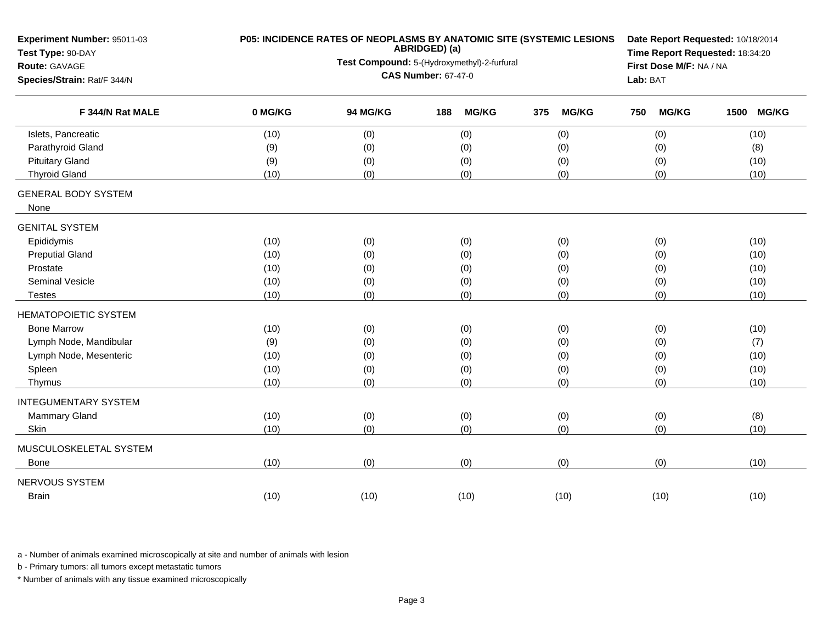| Test Type: 90-DAY<br>Test Compound: 5-(Hydroxymethyl)-2-furfural<br>First Dose M/F: NA / NA<br>Route: GAVAGE<br><b>CAS Number: 67-47-0</b><br>Species/Strain: Rat/F 344/N<br>Lab: BAT<br>F 344/N Rat MALE<br>0 MG/KG<br>94 MG/KG<br><b>MG/KG</b><br><b>MG/KG</b><br><b>MG/KG</b><br><b>MG/KG</b><br>188<br>375<br>750<br>1500<br>Islets, Pancreatic<br>(10)<br>(0)<br>(0)<br>(0)<br>(0)<br>(10)<br>Parathyroid Gland<br>(9)<br>(0)<br>(0)<br>(0)<br>(0)<br>(8)<br><b>Pituitary Gland</b><br>(0)<br>(9)<br>(0)<br>(0)<br>(0)<br>(10)<br><b>Thyroid Gland</b><br>(0)<br>(0)<br>(0)<br>(0)<br>(10)<br>(10) | Date Report Requested: 10/18/2014<br>Time Report Requested: 18:34:20 |  |  |  |
|---------------------------------------------------------------------------------------------------------------------------------------------------------------------------------------------------------------------------------------------------------------------------------------------------------------------------------------------------------------------------------------------------------------------------------------------------------------------------------------------------------------------------------------------------------------------------------------------------------|----------------------------------------------------------------------|--|--|--|
|                                                                                                                                                                                                                                                                                                                                                                                                                                                                                                                                                                                                         |                                                                      |  |  |  |
|                                                                                                                                                                                                                                                                                                                                                                                                                                                                                                                                                                                                         |                                                                      |  |  |  |
|                                                                                                                                                                                                                                                                                                                                                                                                                                                                                                                                                                                                         |                                                                      |  |  |  |
|                                                                                                                                                                                                                                                                                                                                                                                                                                                                                                                                                                                                         |                                                                      |  |  |  |
|                                                                                                                                                                                                                                                                                                                                                                                                                                                                                                                                                                                                         |                                                                      |  |  |  |
|                                                                                                                                                                                                                                                                                                                                                                                                                                                                                                                                                                                                         |                                                                      |  |  |  |
|                                                                                                                                                                                                                                                                                                                                                                                                                                                                                                                                                                                                         |                                                                      |  |  |  |
| <b>GENERAL BODY SYSTEM</b><br>None                                                                                                                                                                                                                                                                                                                                                                                                                                                                                                                                                                      |                                                                      |  |  |  |
| <b>GENITAL SYSTEM</b>                                                                                                                                                                                                                                                                                                                                                                                                                                                                                                                                                                                   |                                                                      |  |  |  |
| Epididymis<br>(10)<br>(0)<br>(0)<br>(0)<br>(0)<br>(10)                                                                                                                                                                                                                                                                                                                                                                                                                                                                                                                                                  |                                                                      |  |  |  |
| <b>Preputial Gland</b><br>(10)<br>(0)<br>(10)<br>(0)<br>(0)<br>(0)                                                                                                                                                                                                                                                                                                                                                                                                                                                                                                                                      |                                                                      |  |  |  |
| Prostate<br>(10)<br>(0)<br>(0)<br>(0)<br>(0)<br>(10)                                                                                                                                                                                                                                                                                                                                                                                                                                                                                                                                                    |                                                                      |  |  |  |
| Seminal Vesicle<br>(0)<br>(0)<br>(10)<br>(10)<br>(0)<br>(0)                                                                                                                                                                                                                                                                                                                                                                                                                                                                                                                                             |                                                                      |  |  |  |
| (0)<br>(0)<br>(0)<br>(0)<br>(10)<br>(10)<br>Testes                                                                                                                                                                                                                                                                                                                                                                                                                                                                                                                                                      |                                                                      |  |  |  |
| <b>HEMATOPOIETIC SYSTEM</b>                                                                                                                                                                                                                                                                                                                                                                                                                                                                                                                                                                             |                                                                      |  |  |  |
| <b>Bone Marrow</b><br>(10)<br>(0)<br>(0)<br>(0)<br>(0)<br>(10)                                                                                                                                                                                                                                                                                                                                                                                                                                                                                                                                          |                                                                      |  |  |  |
| Lymph Node, Mandibular<br>(0)<br>(9)<br>(0)<br>(0)<br>(0)<br>(7)                                                                                                                                                                                                                                                                                                                                                                                                                                                                                                                                        |                                                                      |  |  |  |
| Lymph Node, Mesenteric<br>(0)<br>(0)<br>(0)<br>(10)<br>(10)<br>(0)                                                                                                                                                                                                                                                                                                                                                                                                                                                                                                                                      |                                                                      |  |  |  |
| (0)<br>(10)<br>Spleen<br>(10)<br>(0)<br>(0)<br>(0)                                                                                                                                                                                                                                                                                                                                                                                                                                                                                                                                                      |                                                                      |  |  |  |
| (0)<br>(0)<br>(0)<br>(0)<br>(10)<br>(10)<br>Thymus                                                                                                                                                                                                                                                                                                                                                                                                                                                                                                                                                      |                                                                      |  |  |  |
| <b>INTEGUMENTARY SYSTEM</b>                                                                                                                                                                                                                                                                                                                                                                                                                                                                                                                                                                             |                                                                      |  |  |  |
| Mammary Gland<br>(10)<br>(0)<br>(0)<br>(0)<br>(0)<br>(8)                                                                                                                                                                                                                                                                                                                                                                                                                                                                                                                                                |                                                                      |  |  |  |
| (0)<br>(0)<br>(0)<br>Skin<br>(10)<br>(0)<br>(10)                                                                                                                                                                                                                                                                                                                                                                                                                                                                                                                                                        |                                                                      |  |  |  |
| MUSCULOSKELETAL SYSTEM                                                                                                                                                                                                                                                                                                                                                                                                                                                                                                                                                                                  |                                                                      |  |  |  |
| (0)<br>(0)<br>(0)<br>(10)<br>(10)<br>(0)<br>Bone                                                                                                                                                                                                                                                                                                                                                                                                                                                                                                                                                        |                                                                      |  |  |  |
| NERVOUS SYSTEM                                                                                                                                                                                                                                                                                                                                                                                                                                                                                                                                                                                          |                                                                      |  |  |  |
| <b>Brain</b><br>(10)<br>(10)<br>(10)<br>(10)<br>(10)<br>(10)                                                                                                                                                                                                                                                                                                                                                                                                                                                                                                                                            |                                                                      |  |  |  |

b - Primary tumors: all tumors except metastatic tumors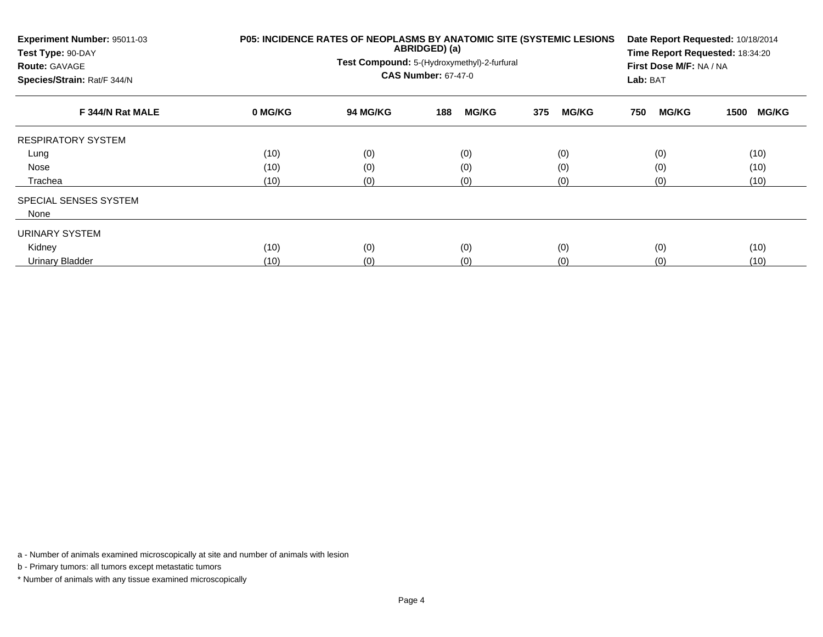| Experiment Number: 95011-03<br>Test Type: 90-DAY<br><b>Route: GAVAGE</b><br>Species/Strain: Rat/F 344/N | P05: INCIDENCE RATES OF NEOPLASMS BY ANATOMIC SITE (SYSTEMIC LESIONS | Date Report Requested: 10/18/2014<br>Time Report Requested: 18:34:20<br>First Dose M/F: NA / NA<br>Lab: BAT |                     |                     |                     |                      |
|---------------------------------------------------------------------------------------------------------|----------------------------------------------------------------------|-------------------------------------------------------------------------------------------------------------|---------------------|---------------------|---------------------|----------------------|
| F 344/N Rat MALE                                                                                        | 0 MG/KG                                                              | <b>94 MG/KG</b>                                                                                             | <b>MG/KG</b><br>188 | 375<br><b>MG/KG</b> | <b>MG/KG</b><br>750 | <b>MG/KG</b><br>1500 |
| <b>RESPIRATORY SYSTEM</b>                                                                               |                                                                      |                                                                                                             |                     |                     |                     |                      |
| Lung                                                                                                    | (10)                                                                 | (0)                                                                                                         | (0)                 | (0)                 | (0)                 | (10)                 |
| Nose                                                                                                    | (10)                                                                 | (0)                                                                                                         | (0)                 | (0)                 | (0)                 | (10)                 |
| Trachea                                                                                                 | (10)                                                                 | (0)                                                                                                         | (0)                 | (0)                 | (0)                 | (10)                 |
| SPECIAL SENSES SYSTEM                                                                                   |                                                                      |                                                                                                             |                     |                     |                     |                      |
| None                                                                                                    |                                                                      |                                                                                                             |                     |                     |                     |                      |
| URINARY SYSTEM                                                                                          |                                                                      |                                                                                                             |                     |                     |                     |                      |
| Kidney                                                                                                  | (10)                                                                 | (0)                                                                                                         | (0)                 | (0)                 | (0)                 | (10)                 |
| Urinary Bladder                                                                                         | (10)                                                                 | (0)                                                                                                         | (0)                 | (0)                 | (0)                 | (10)                 |

b - Primary tumors: all tumors except metastatic tumors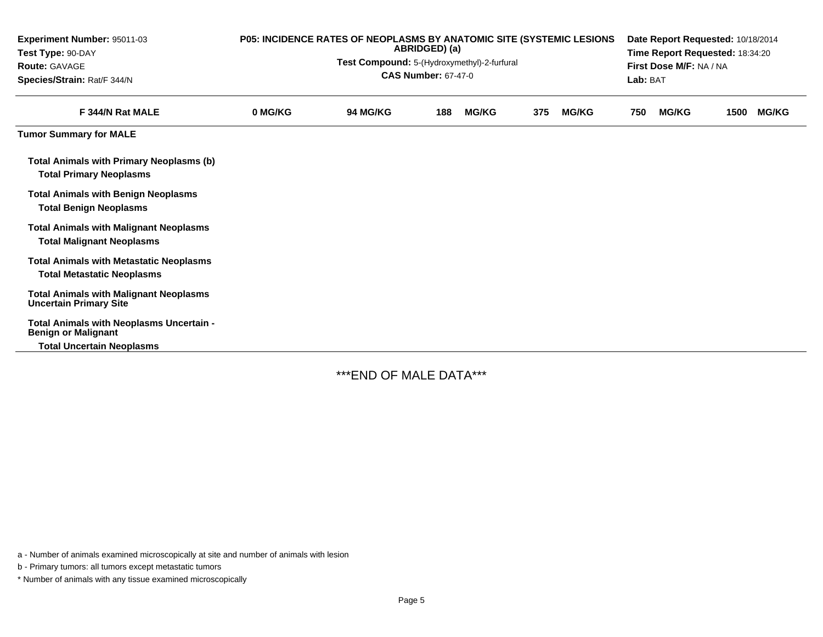| <b>Experiment Number: 95011-03</b><br>Test Type: 90-DAY<br><b>Route: GAVAGE</b><br>Species/Strain: Rat/F 344/N | P05: INCIDENCE RATES OF NEOPLASMS BY ANATOMIC SITE (SYSTEMIC LESIONS<br>ABRIDGED) (a)<br>Test Compound: 5-(Hydroxymethyl)-2-furfural<br><b>CAS Number: 67-47-0</b> |                 |     |              |     |              |     | Date Report Requested: 10/18/2014<br>Time Report Requested: 18:34:20<br>First Dose M/F: NA / NA<br>Lab: BAT |      |              |  |
|----------------------------------------------------------------------------------------------------------------|--------------------------------------------------------------------------------------------------------------------------------------------------------------------|-----------------|-----|--------------|-----|--------------|-----|-------------------------------------------------------------------------------------------------------------|------|--------------|--|
| F 344/N Rat MALE                                                                                               | 0 MG/KG                                                                                                                                                            | <b>94 MG/KG</b> | 188 | <b>MG/KG</b> | 375 | <b>MG/KG</b> | 750 | <b>MG/KG</b>                                                                                                | 1500 | <b>MG/KG</b> |  |
| <b>Tumor Summary for MALE</b>                                                                                  |                                                                                                                                                                    |                 |     |              |     |              |     |                                                                                                             |      |              |  |
| <b>Total Animals with Primary Neoplasms (b)</b><br><b>Total Primary Neoplasms</b>                              |                                                                                                                                                                    |                 |     |              |     |              |     |                                                                                                             |      |              |  |
| <b>Total Animals with Benign Neoplasms</b><br><b>Total Benign Neoplasms</b>                                    |                                                                                                                                                                    |                 |     |              |     |              |     |                                                                                                             |      |              |  |
| <b>Total Animals with Malignant Neoplasms</b><br><b>Total Malignant Neoplasms</b>                              |                                                                                                                                                                    |                 |     |              |     |              |     |                                                                                                             |      |              |  |
| <b>Total Animals with Metastatic Neoplasms</b><br><b>Total Metastatic Neoplasms</b>                            |                                                                                                                                                                    |                 |     |              |     |              |     |                                                                                                             |      |              |  |
| <b>Total Animals with Malignant Neoplasms</b><br><b>Uncertain Primary Site</b>                                 |                                                                                                                                                                    |                 |     |              |     |              |     |                                                                                                             |      |              |  |
| Total Animals with Neoplasms Uncertain -<br><b>Benign or Malignant</b>                                         |                                                                                                                                                                    |                 |     |              |     |              |     |                                                                                                             |      |              |  |
| <b>Total Uncertain Neoplasms</b>                                                                               |                                                                                                                                                                    |                 |     |              |     |              |     |                                                                                                             |      |              |  |

\*\*\*END OF MALE DATA\*\*\*

a - Number of animals examined microscopically at site and number of animals with lesion

b - Primary tumors: all tumors except metastatic tumors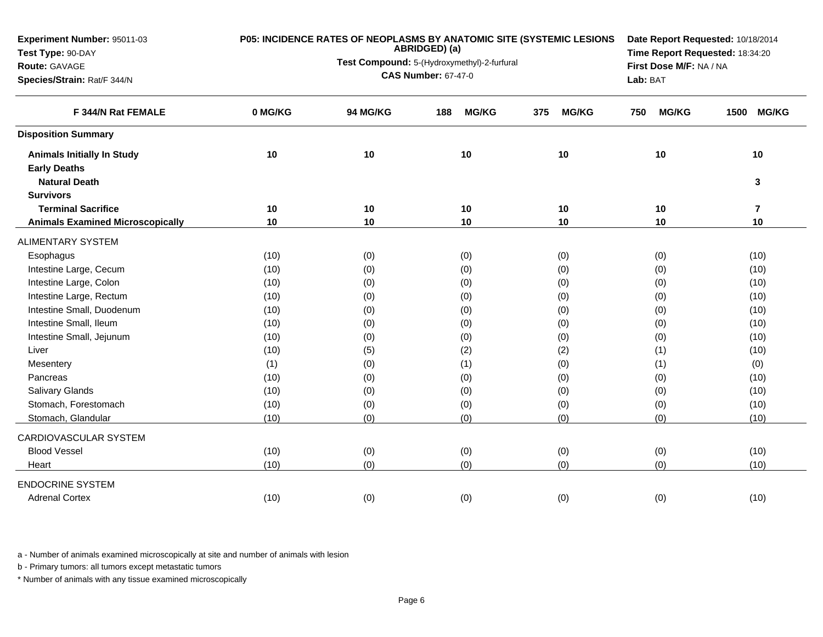| Experiment Number: 95011-03             |         | P05: INCIDENCE RATES OF NEOPLASMS BY ANATOMIC SITE (SYSTEMIC LESIONS<br>ABRIDGED) (a) | Date Report Requested: 10/18/2014<br>Time Report Requested: 18:34:20 |                     |                         |                      |
|-----------------------------------------|---------|---------------------------------------------------------------------------------------|----------------------------------------------------------------------|---------------------|-------------------------|----------------------|
| Test Type: 90-DAY                       |         | Test Compound: 5-(Hydroxymethyl)-2-furfural                                           |                                                                      |                     |                         |                      |
| Route: GAVAGE                           |         |                                                                                       | <b>CAS Number: 67-47-0</b>                                           |                     | First Dose M/F: NA / NA |                      |
| Species/Strain: Rat/F 344/N             |         |                                                                                       | Lab: BAT                                                             |                     |                         |                      |
| F 344/N Rat FEMALE                      | 0 MG/KG | 94 MG/KG                                                                              | <b>MG/KG</b><br>188                                                  | <b>MG/KG</b><br>375 | <b>MG/KG</b><br>750     | <b>MG/KG</b><br>1500 |
| <b>Disposition Summary</b>              |         |                                                                                       |                                                                      |                     |                         |                      |
| <b>Animals Initially In Study</b>       | 10      | 10                                                                                    | 10                                                                   | 10                  | 10                      | 10                   |
| <b>Early Deaths</b>                     |         |                                                                                       |                                                                      |                     |                         |                      |
| <b>Natural Death</b>                    |         |                                                                                       |                                                                      |                     |                         | 3                    |
| <b>Survivors</b>                        |         |                                                                                       |                                                                      |                     |                         |                      |
| <b>Terminal Sacrifice</b>               | 10      | 10                                                                                    | 10                                                                   | 10                  | 10                      | $\overline{7}$       |
| <b>Animals Examined Microscopically</b> | 10      | 10                                                                                    | 10                                                                   | 10                  | 10                      | 10                   |
| <b>ALIMENTARY SYSTEM</b>                |         |                                                                                       |                                                                      |                     |                         |                      |
| Esophagus                               | (10)    | (0)                                                                                   | (0)                                                                  | (0)                 | (0)                     | (10)                 |
| Intestine Large, Cecum                  | (10)    | (0)                                                                                   | (0)                                                                  | (0)                 | (0)                     | (10)                 |
| Intestine Large, Colon                  | (10)    | (0)                                                                                   | (0)                                                                  | (0)                 | (0)                     | (10)                 |
| Intestine Large, Rectum                 | (10)    | (0)                                                                                   | (0)                                                                  | (0)                 | (0)                     | (10)                 |
| Intestine Small, Duodenum               | (10)    | (0)                                                                                   | (0)                                                                  | (0)                 | (0)                     | (10)                 |
| Intestine Small, Ileum                  | (10)    | (0)                                                                                   | (0)                                                                  | (0)                 | (0)                     | (10)                 |
| Intestine Small, Jejunum                | (10)    | (0)                                                                                   | (0)                                                                  | (0)                 | (0)                     | (10)                 |
| Liver                                   | (10)    | (5)                                                                                   | (2)                                                                  | (2)                 | (1)                     | (10)                 |
| Mesentery                               | (1)     | (0)                                                                                   | (1)                                                                  | (0)                 | (1)                     | (0)                  |
| Pancreas                                | (10)    | (0)                                                                                   | (0)                                                                  | (0)                 | (0)                     | (10)                 |
| Salivary Glands                         | (10)    | (0)                                                                                   | (0)                                                                  | (0)                 | (0)                     | (10)                 |
| Stomach, Forestomach                    | (10)    | (0)                                                                                   | (0)                                                                  | (0)                 | (0)                     | (10)                 |
| Stomach, Glandular                      | (10)    | (0)                                                                                   | (0)                                                                  | (0)                 | (0)                     | (10)                 |
| CARDIOVASCULAR SYSTEM                   |         |                                                                                       |                                                                      |                     |                         |                      |
| <b>Blood Vessel</b>                     | (10)    | (0)                                                                                   | (0)                                                                  | (0)                 | (0)                     | (10)                 |
| Heart                                   | (10)    | (0)                                                                                   | (0)                                                                  | (0)                 | (0)                     | (10)                 |
| <b>ENDOCRINE SYSTEM</b>                 |         |                                                                                       |                                                                      |                     |                         |                      |
| <b>Adrenal Cortex</b>                   | (10)    | (0)                                                                                   | (0)                                                                  | (0)                 | (0)                     | (10)                 |

b - Primary tumors: all tumors except metastatic tumors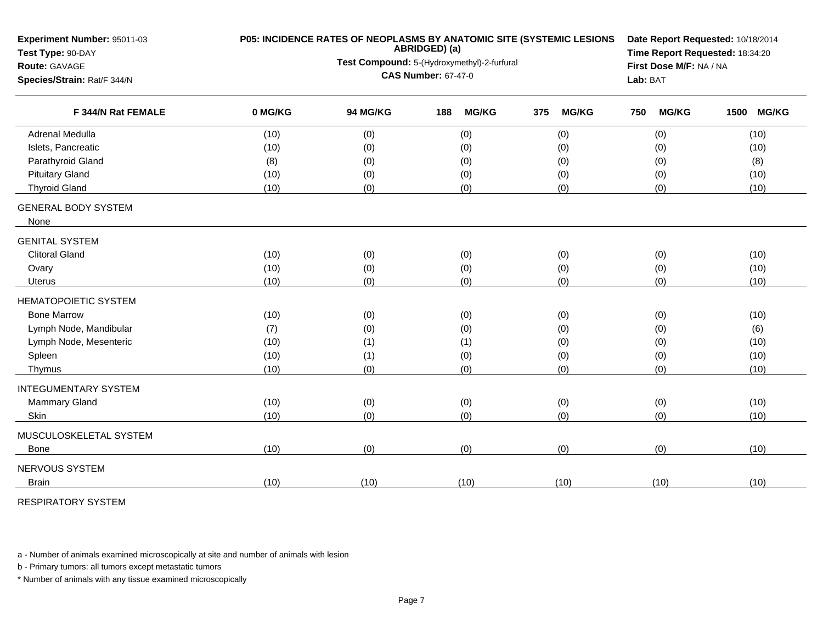| Experiment Number: 95011-03<br>Test Type: 90-DAY  | P05: INCIDENCE RATES OF NEOPLASMS BY ANATOMIC SITE (SYSTEMIC LESIONS | Date Report Requested: 10/18/2014<br>Time Report Requested: 18:34:20 |                     |                     |                     |                      |  |  |
|---------------------------------------------------|----------------------------------------------------------------------|----------------------------------------------------------------------|---------------------|---------------------|---------------------|----------------------|--|--|
| Route: GAVAGE                                     |                                                                      | Test Compound: 5-(Hydroxymethyl)-2-furfural                          |                     |                     |                     |                      |  |  |
| Species/Strain: Rat/F 344/N<br>F 344/N Rat FEMALE |                                                                      | <b>CAS Number: 67-47-0</b>                                           |                     |                     |                     |                      |  |  |
|                                                   | 0 MG/KG                                                              | 94 MG/KG                                                             | <b>MG/KG</b><br>188 | <b>MG/KG</b><br>375 | <b>MG/KG</b><br>750 | <b>MG/KG</b><br>1500 |  |  |
| Adrenal Medulla                                   | (10)                                                                 | (0)                                                                  | (0)                 | (0)                 | (0)                 | (10)                 |  |  |
| Islets, Pancreatic                                | (10)                                                                 | (0)                                                                  | (0)                 | (0)                 | (0)                 | (10)                 |  |  |
| Parathyroid Gland                                 | (8)                                                                  | (0)                                                                  | (0)                 | (0)                 | (0)                 | (8)                  |  |  |
| <b>Pituitary Gland</b>                            | (10)                                                                 | (0)                                                                  | (0)                 | (0)                 | (0)                 | (10)                 |  |  |
| <b>Thyroid Gland</b>                              | (10)                                                                 | (0)                                                                  | (0)                 | (0)                 | (0)                 | (10)                 |  |  |
| <b>GENERAL BODY SYSTEM</b><br>None                |                                                                      |                                                                      |                     |                     |                     |                      |  |  |
| <b>GENITAL SYSTEM</b>                             |                                                                      |                                                                      |                     |                     |                     |                      |  |  |
| <b>Clitoral Gland</b>                             | (10)                                                                 | (0)                                                                  | (0)                 | (0)                 | (0)                 | (10)                 |  |  |
| Ovary                                             | (10)                                                                 | (0)                                                                  | (0)                 | (0)                 | (0)                 | (10)                 |  |  |
| Uterus                                            | (10)                                                                 | (0)                                                                  | (0)                 | (0)                 | (0)                 | (10)                 |  |  |
| <b>HEMATOPOIETIC SYSTEM</b>                       |                                                                      |                                                                      |                     |                     |                     |                      |  |  |
| <b>Bone Marrow</b>                                | (10)                                                                 | (0)                                                                  | (0)                 | (0)                 | (0)                 | (10)                 |  |  |
| Lymph Node, Mandibular                            | (7)                                                                  | (0)                                                                  | (0)                 | (0)                 | (0)                 | (6)                  |  |  |
| Lymph Node, Mesenteric                            | (10)                                                                 | (1)                                                                  | (1)                 | (0)                 | (0)                 | (10)                 |  |  |
| Spleen                                            | (10)                                                                 | (1)                                                                  | (0)                 | (0)                 | (0)                 | (10)                 |  |  |
| Thymus                                            | (10)                                                                 | (0)                                                                  | (0)                 | (0)                 | (0)                 | (10)                 |  |  |
| <b>INTEGUMENTARY SYSTEM</b>                       |                                                                      |                                                                      |                     |                     |                     |                      |  |  |
| <b>Mammary Gland</b>                              | (10)                                                                 | (0)                                                                  | (0)                 | (0)                 | (0)                 | (10)                 |  |  |
| Skin                                              | (10)                                                                 | (0)                                                                  | (0)                 | (0)                 | (0)                 | (10)                 |  |  |
| MUSCULOSKELETAL SYSTEM                            |                                                                      |                                                                      |                     |                     |                     |                      |  |  |
| <b>Bone</b>                                       | (10)                                                                 | (0)                                                                  | (0)                 | (0)                 | (0)                 | (10)                 |  |  |
| NERVOUS SYSTEM                                    |                                                                      |                                                                      |                     |                     |                     |                      |  |  |
| <b>Brain</b>                                      | (10)                                                                 | (10)                                                                 | (10)                | (10)                | (10)                | (10)                 |  |  |

RESPIRATORY SYSTEM

a - Number of animals examined microscopically at site and number of animals with lesion

b - Primary tumors: all tumors except metastatic tumors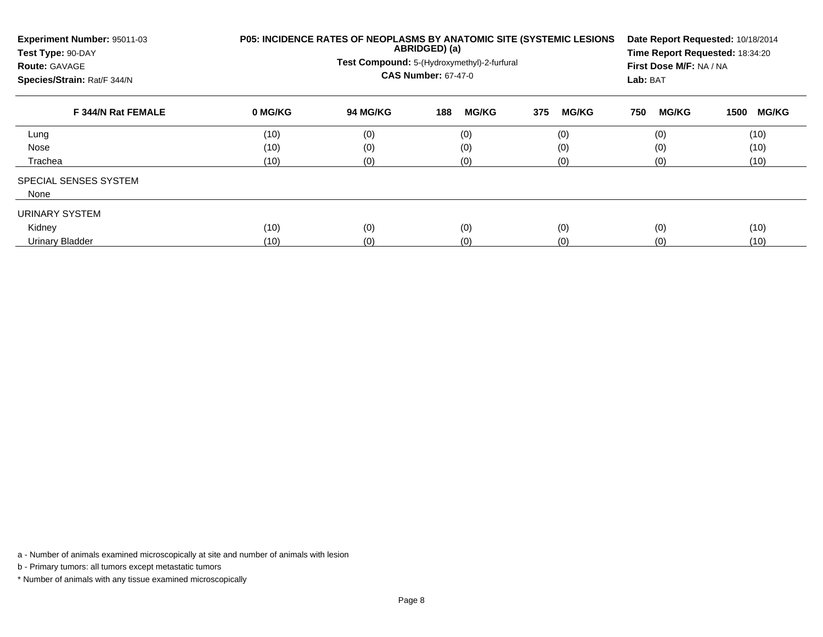| Experiment Number: 95011-03<br>Test Type: 90-DAY<br><b>Route: GAVAGE</b><br>Species/Strain: Rat/F 344/N | <b>P05: INCIDENCE RATES OF NEOPLASMS BY ANATOMIC SITE (SYSTEMIC LESIONS)</b> | Date Report Requested: 10/18/2014<br>Time Report Requested: 18:34:20<br>First Dose M/F: NA / NA<br>Lab: BAT |                     |                     |                     |                      |
|---------------------------------------------------------------------------------------------------------|------------------------------------------------------------------------------|-------------------------------------------------------------------------------------------------------------|---------------------|---------------------|---------------------|----------------------|
| F 344/N Rat FEMALE                                                                                      | 0 MG/KG                                                                      | <b>94 MG/KG</b>                                                                                             | <b>MG/KG</b><br>188 | <b>MG/KG</b><br>375 | <b>MG/KG</b><br>750 | <b>MG/KG</b><br>1500 |
| Lung                                                                                                    | (10)                                                                         | (0)                                                                                                         | (0)                 | (0)                 | (0)                 | (10)                 |
| Nose                                                                                                    | (10)                                                                         | (0)                                                                                                         | (0)                 | (0)                 | (0)                 | (10)                 |
| Trachea                                                                                                 | (10)                                                                         | (0)                                                                                                         | (0)                 | (0)                 | (0)                 | (10)                 |
| <b>SPECIAL SENSES SYSTEM</b>                                                                            |                                                                              |                                                                                                             |                     |                     |                     |                      |
| None                                                                                                    |                                                                              |                                                                                                             |                     |                     |                     |                      |
| URINARY SYSTEM                                                                                          |                                                                              |                                                                                                             |                     |                     |                     |                      |
| Kidney                                                                                                  | (10)                                                                         | (0)                                                                                                         | (0)                 | (0)                 | (0)                 | (10)                 |
| <b>Urinary Bladder</b>                                                                                  | (10)                                                                         | (0)                                                                                                         | (0)                 | (0)                 | (0)                 | (10)                 |

b - Primary tumors: all tumors except metastatic tumors